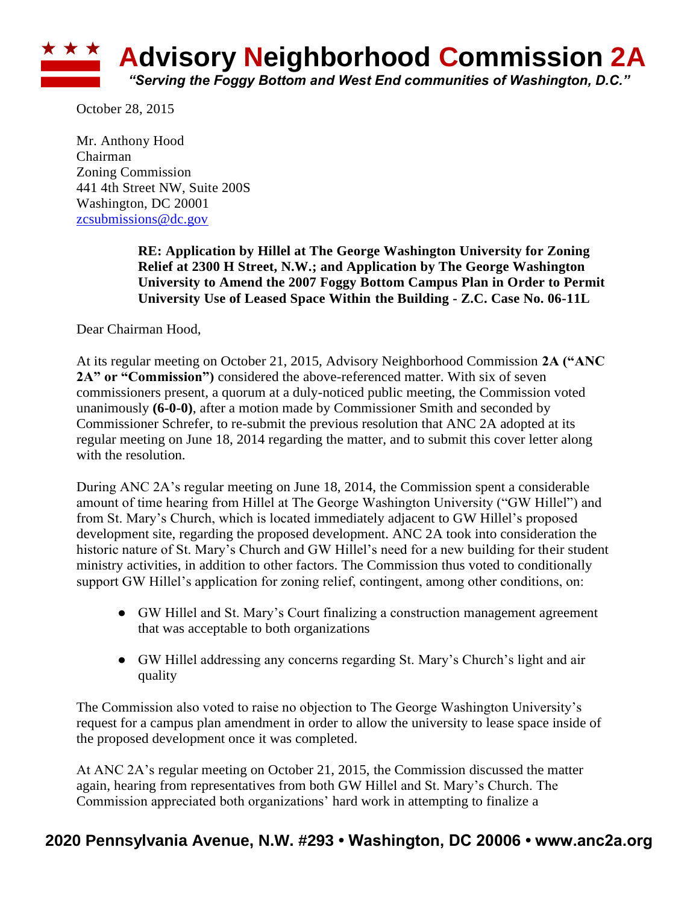## **\* \* \* Advisory Neighborhood Commission 2A** *"Serving the Foggy Bottom and West End communities of Washington, D.C."*

October 28, 2015

Mr. Anthony Hood Chairman Zoning Commission 441 4th Street NW, Suite 200S Washington, DC 20001 [zcsubmissions@dc.gov](mailto:zcsubmissions@dc.gov)

> **RE: Application by Hillel at The George Washington University for Zoning Relief at 2300 H Street, N.W.; and Application by The George Washington University to Amend the 2007 Foggy Bottom Campus Plan in Order to Permit University Use of Leased Space Within the Building - Z.C. Case No. 06-11L**

Dear Chairman Hood,

At its regular meeting on October 21, 2015, Advisory Neighborhood Commission **2A ("ANC**  2A" or "Commission") considered the above-referenced matter. With six of seven commissioners present, a quorum at a duly-noticed public meeting, the Commission voted unanimously **(6-0-0)**, after a motion made by Commissioner Smith and seconded by Commissioner Schrefer, to re-submit the previous resolution that ANC 2A adopted at its regular meeting on June 18, 2014 regarding the matter, and to submit this cover letter along with the resolution.

During ANC 2A's regular meeting on June 18, 2014, the Commission spent a considerable amount of time hearing from Hillel at The George Washington University ("GW Hillel") and from St. Mary's Church, which is located immediately adjacent to GW Hillel's proposed development site, regarding the proposed development. ANC 2A took into consideration the historic nature of St. Mary's Church and GW Hillel's need for a new building for their student ministry activities, in addition to other factors. The Commission thus voted to conditionally support GW Hillel's application for zoning relief, contingent, among other conditions, on:

- GW Hillel and St. Mary's Court finalizing a construction management agreement that was acceptable to both organizations
- GW Hillel addressing any concerns regarding St. Mary's Church's light and air quality

The Commission also voted to raise no objection to The George Washington University's request for a campus plan amendment in order to allow the university to lease space inside of the proposed development once it was completed.

At ANC 2A's regular meeting on October 21, 2015, the Commission discussed the matter again, hearing from representatives from both GW Hillel and St. Mary's Church. The Commission appreciated both organizations' hard work in attempting to finalize a

## **2020 Pennsylvania Avenue, N.W. #293 • Washington, DC 20006 • www.anc2a.org**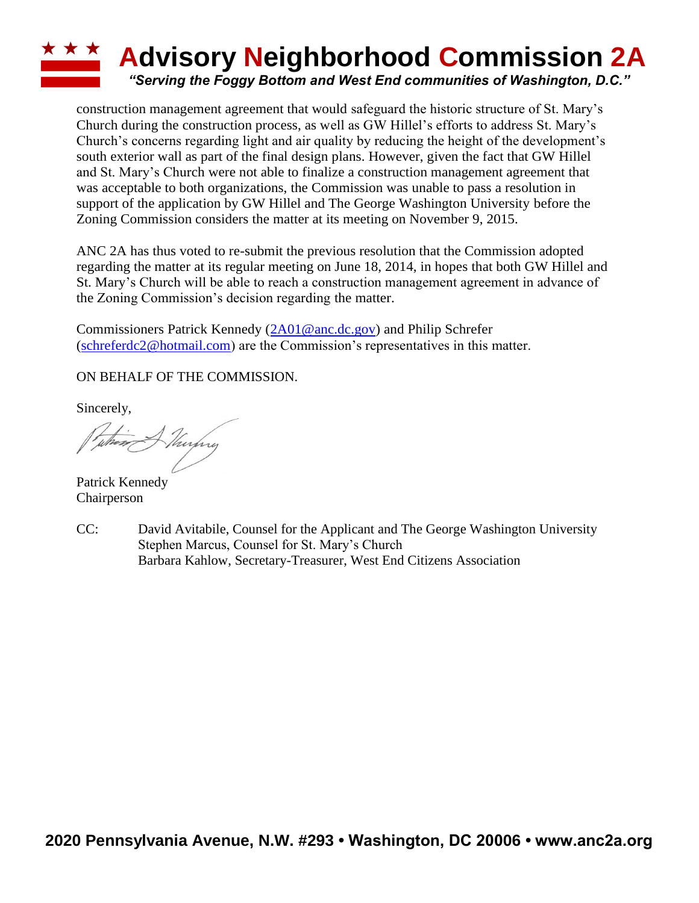## **ADVISORY Neighborhood Commission 2A** *"Serving the Foggy Bottom and West End communities of Washington, D.C."*

construction management agreement that would safeguard the historic structure of St. Mary's Church during the construction process, as well as GW Hillel's efforts to address St. Mary's Church's concerns regarding light and air quality by reducing the height of the development's south exterior wall as part of the final design plans. However, given the fact that GW Hillel and St. Mary's Church were not able to finalize a construction management agreement that was acceptable to both organizations, the Commission was unable to pass a resolution in support of the application by GW Hillel and The George Washington University before the Zoning Commission considers the matter at its meeting on November 9, 2015.

ANC 2A has thus voted to re-submit the previous resolution that the Commission adopted regarding the matter at its regular meeting on June 18, 2014, in hopes that both GW Hillel and St. Mary's Church will be able to reach a construction management agreement in advance of the Zoning Commission's decision regarding the matter.

Commissioners Patrick Kennedy [\(2A01@anc.dc.gov\)](mailto:2A01@anc.dc.gov) and Philip Schrefer [\(schreferdc2@hotmail.com\)](mailto:schreferdc2@hotmail.com) are the Commission's representatives in this matter.

ON BEHALF OF THE COMMISSION.

Sincerely,

when A Thurphy

Patrick Kennedy Chairperson

CC: David Avitabile, Counsel for the Applicant and The George Washington University Stephen Marcus, Counsel for St. Mary's Church Barbara Kahlow, Secretary-Treasurer, West End Citizens Association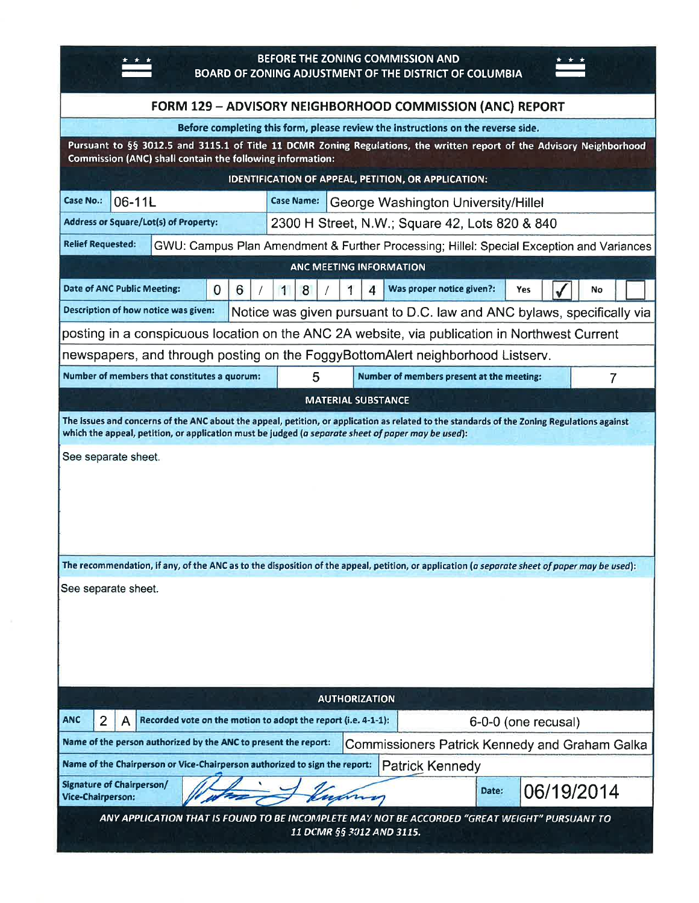| BEFORE THE ZONING COMMISSION AND<br><b>BOARD OF ZONING ADJUSTMENT OF THE DISTRICT OF COLUMBIA</b>                                                                                                                                                 |  |
|---------------------------------------------------------------------------------------------------------------------------------------------------------------------------------------------------------------------------------------------------|--|
| FORM 129 - ADVISORY NEIGHBORHOOD COMMISSION (ANC) REPORT                                                                                                                                                                                          |  |
| Before completing this form, please review the instructions on the reverse side.                                                                                                                                                                  |  |
| Pursuant to §§ 3012.5 and 3115.1 of Title 11 DCMR Zoning Regulations, the written report of the Advisory Neighborhood<br>Commission (ANC) shall contain the following information:                                                                |  |
| IDENTIFICATION OF APPEAL, PETITION, OR APPLICATION:                                                                                                                                                                                               |  |
| <b>Case No.:</b><br>06-11L<br><b>Case Name:</b><br>George Washington University/Hillel                                                                                                                                                            |  |
| <b>Address or Square/Lot(s) of Property:</b><br>2300 H Street, N.W.; Square 42, Lots 820 & 840                                                                                                                                                    |  |
| <b>Relief Requested:</b><br>GWU: Campus Plan Amendment & Further Processing; Hillel: Special Exception and Variances                                                                                                                              |  |
| ANC MEETING INFORMATION                                                                                                                                                                                                                           |  |
| Was proper notice given?:<br>Date of ANC Public Meeting:<br>$\overline{0}$<br>6<br>8<br>$\boldsymbol{\Lambda}$<br>1<br>1<br>Yes<br>No                                                                                                             |  |
| Description of how notice was given:<br>Notice was given pursuant to D.C. law and ANC bylaws, specifically via                                                                                                                                    |  |
| posting in a conspicuous location on the ANC 2A website, via publication in Northwest Current                                                                                                                                                     |  |
| newspapers, and through posting on the FoggyBottomAlert neighborhood Listserv.                                                                                                                                                                    |  |
| Number of members that constitutes a quorum:<br>5<br>Number of members present at the meeting:<br>$\overline{7}$                                                                                                                                  |  |
| <b>MATERIAL SUBSTANCE</b>                                                                                                                                                                                                                         |  |
| The issues and concerns of the ANC about the appeal, petition, or application as related to the standards of the Zoning Regulations against<br>which the appeal, petition, or application must be judged (a separate sheet of paper may be used): |  |
| See separate sheet.                                                                                                                                                                                                                               |  |
| The recommendation, if any, of the ANC as to the disposition of the appeal, petition, or application (a separate sheet of paper may be used):<br>See separate sheet.                                                                              |  |
| <b>AUTHORIZATION</b>                                                                                                                                                                                                                              |  |
| <b>ANC</b><br>Recorded vote on the motion to adopt the report (i.e. 4-1-1):<br>2<br>6-0-0 (one recusal)<br>A                                                                                                                                      |  |
| Name of the person authorized by the ANC to present the report:<br>Commissioners Patrick Kennedy and Graham Galka                                                                                                                                 |  |
| Name of the Chairperson or Vice-Chairperson authorized to sign the report:<br><b>Patrick Kennedy</b>                                                                                                                                              |  |
| <b>Signature of Chairperson/</b><br>06/19/2014<br>Date:<br>Vice-Chairperson:                                                                                                                                                                      |  |
| ANY APPLICATION THAT IS FOUND TO BE INCOMPLETE MAY NOT BE ACCORDED "GREAT WEIGHT" PURSUANT TO<br>11 DCMR §§ 3012 AND 3115.                                                                                                                        |  |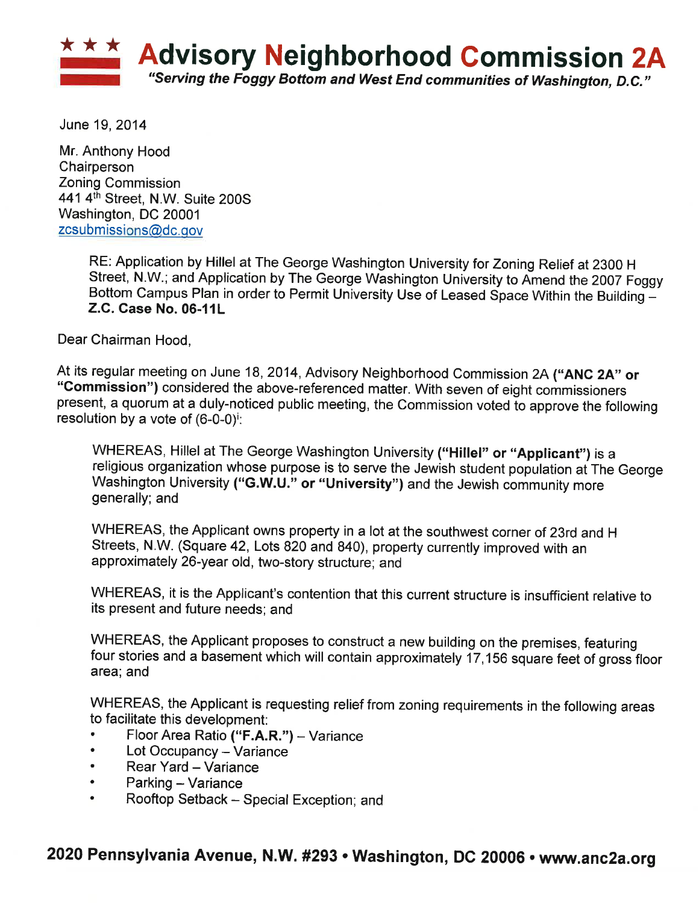

June 19, 2014

Mr. Anthony Hood Chairperson **Zoning Commission** 441 4th Street, N.W. Suite 200S Washington, DC 20001 zcsubmissions@dc.gov

> RE: Application by Hillel at The George Washington University for Zoning Relief at 2300 H Street, N.W.; and Application by The George Washington University to Amend the 2007 Foggy Bottom Campus Plan in order to Permit University Use of Leased Space Within the Building -Z.C. Case No. 06-11L

Dear Chairman Hood,

At its regular meeting on June 18, 2014, Advisory Neighborhood Commission 2A ("ANC 2A" or "Commission") considered the above-referenced matter. With seven of eight commissioners present, a quorum at a duly-noticed public meeting, the Commission voted to approve the following resolution by a vote of  $(6-0-0)^i$ .

WHEREAS, Hillel at The George Washington University ("Hillel" or "Applicant") is a religious organization whose purpose is to serve the Jewish student population at The George Washington University ("G.W.U." or "University") and the Jewish community more generally; and

WHEREAS, the Applicant owns property in a lot at the southwest corner of 23rd and H Streets, N.W. (Square 42, Lots 820 and 840), property currently improved with an approximately 26-year old, two-story structure; and

WHEREAS, it is the Applicant's contention that this current structure is insufficient relative to its present and future needs; and

WHEREAS, the Applicant proposes to construct a new building on the premises, featuring four stories and a basement which will contain approximately 17,156 square feet of gross floor area; and

WHEREAS, the Applicant is requesting relief from zoning requirements in the following areas to facilitate this development:

- Floor Area Ratio ("F.A.R.") Variance
- Lot Occupancy Variance  $\bullet$
- $\bullet$ Rear Yard - Variance
- Parking Variance  $\bullet$
- Rooftop Setback Special Exception; and

## 2020 Pennsylvania Avenue, N.W. #293 · Washington, DC 20006 · www.anc2a.org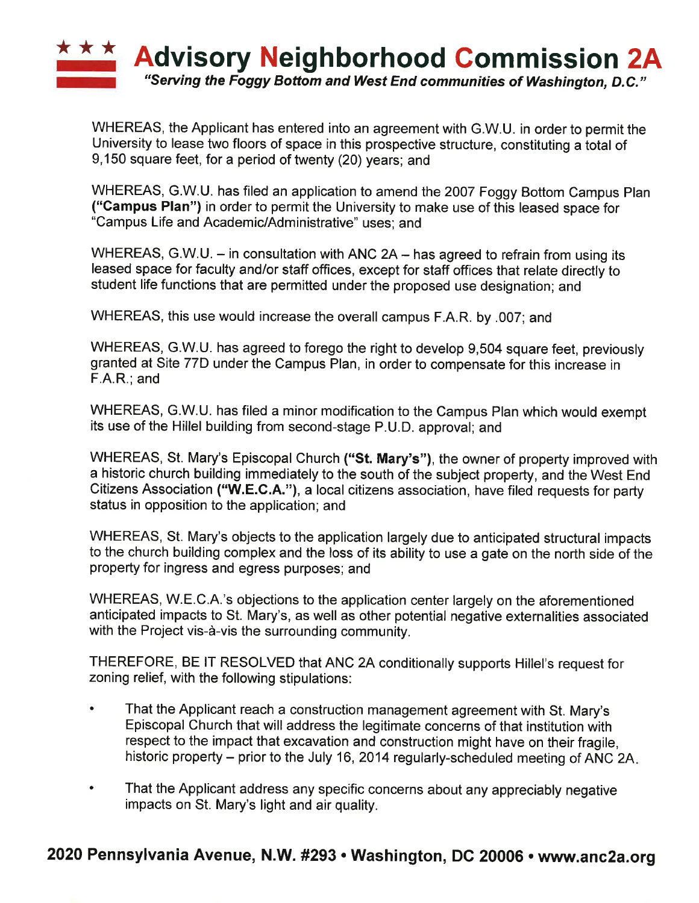

WHEREAS, the Applicant has entered into an agreement with G.W.U. in order to permit the University to lease two floors of space in this prospective structure, constituting a total of 9,150 square feet, for a period of twenty (20) years; and

WHEREAS, G.W.U. has filed an application to amend the 2007 Foggy Bottom Campus Plan ("Campus Plan") in order to permit the University to make use of this leased space for "Campus Life and Academic/Administrative" uses; and

WHEREAS, G.W.U. – in consultation with ANC 2A – has agreed to refrain from using its leased space for faculty and/or staff offices, except for staff offices that relate directly to student life functions that are permitted under the proposed use designation; and

WHEREAS, this use would increase the overall campus F.A.R. by .007; and

WHEREAS, G.W.U. has agreed to forego the right to develop 9,504 square feet, previously granted at Site 77D under the Campus Plan, in order to compensate for this increase in  $F.A.R.:$  and

WHEREAS, G.W.U. has filed a minor modification to the Campus Plan which would exempt its use of the Hillel building from second-stage P.U.D. approval; and

WHEREAS, St. Mary's Episcopal Church ("St. Mary's"), the owner of property improved with a historic church building immediately to the south of the subject property, and the West End Citizens Association ("W.E.C.A."), a local citizens association, have filed requests for party status in opposition to the application; and

WHEREAS, St. Mary's objects to the application largely due to anticipated structural impacts to the church building complex and the loss of its ability to use a gate on the north side of the property for ingress and egress purposes; and

WHEREAS, W.E.C.A.'s objections to the application center largely on the aforementioned anticipated impacts to St. Mary's, as well as other potential negative externalities associated with the Project vis-à-vis the surrounding community.

THEREFORE, BE IT RESOLVED that ANC 2A conditionally supports Hillel's request for zoning relief, with the following stipulations:

- $\bullet$ That the Applicant reach a construction management agreement with St. Mary's Episcopal Church that will address the legitimate concerns of that institution with respect to the impact that excavation and construction might have on their fragile, historic property – prior to the July 16, 2014 regularly-scheduled meeting of ANC 2A.
- $\bullet$ That the Applicant address any specific concerns about any appreciably negative impacts on St. Mary's light and air quality.